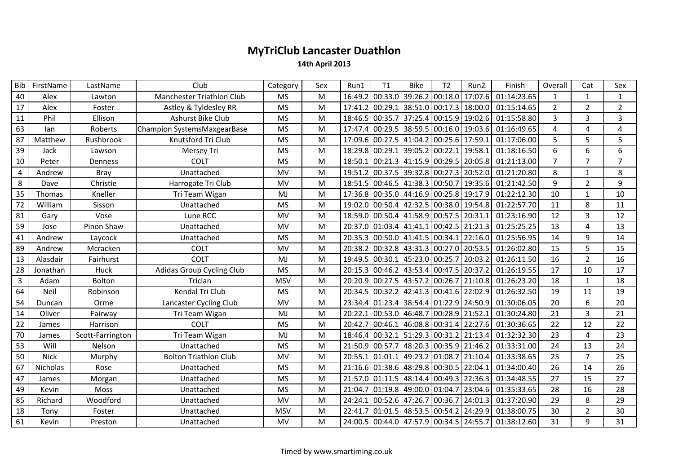## MyTriClub Lancaster Duathlon

14th April 2013

| Bib            | FirstName       | LastName         | Club                         | Category   | Sex       | Run1    | T1      | <b>Bike</b>                             | T <sub>2</sub> | Run2                                    | Finish      | Overall        | Cat            | Sex            |
|----------------|-----------------|------------------|------------------------------|------------|-----------|---------|---------|-----------------------------------------|----------------|-----------------------------------------|-------------|----------------|----------------|----------------|
| 40             | Alex            | Lawton           | Manchester Triathlon Club    | <b>MS</b>  | M         |         |         | 16:49.2 00:33.0 39:26.2 00:18.0         |                | 17:07.6                                 | 01:14:23.65 | $\mathbf{1}$   | $\mathbf{1}$   | $\mathbf{1}$   |
| 17             | Alex            | Foster           | Astley & Tyldesley RR        | <b>MS</b>  | M         | 17:41.2 |         | $\vert$ 00:29.1 38:51.0 00:17.3 18:00.0 |                |                                         | 01:15:14.65 | $\overline{2}$ | $\overline{2}$ | $\overline{2}$ |
| 11             | Phil            | Ellison          | Ashurst Bike Club            | <b>MS</b>  | M         | 18:46.5 |         | 00:35.7 37:25.4 00:15.9 19:02.6         |                |                                         | 01:15:58.80 | 3              | 3              | 3              |
| 63             | lan             | Roberts          | Champion SystemsMaxgearBase  | <b>MS</b>  | M         | 17:47.4 |         | $00:29.5$ 38:59.5 00:16.0 19:03.6       |                |                                         | 01:16:49.65 | 4              | 4              | 4              |
| 87             | Matthew         | Rushbrook        | Knutsford Tri Club           | <b>MS</b>  | M         |         |         | 17:09.6 00:27.5 41:04.2 00:25.6 17:59.1 |                |                                         | 01:17:06.00 | 5              | 5              | 5              |
| 39             | Jack            | Lawson           | Mersey Tri                   | <b>MS</b>  | M         |         |         | 18:29.8 00:29.1 39:05.2 00:22.1         |                | 19:58.1                                 | 01:18:16.50 | 6              | 6              | 6              |
| 10             | Peter           | Denness          | <b>COLT</b>                  | <b>MS</b>  | M         |         |         | 18:50.1 00:21.3 41:15.9 00:29.5 20:05.8 |                |                                         | 01:21:13.00 | $\overline{7}$ | $\overline{7}$ | $\overline{7}$ |
| 4              | Andrew          | Bray             | Unattached                   | <b>MV</b>  | M         | 19:51.2 |         | 00:37.5 39:32.8 00:27.3                 |                | 20:52.0                                 | 01:21:20.80 | 8              | $\mathbf{1}$   | 8              |
| 8              | Dave            | Christie         | Harrogate Tri Club           | <b>MV</b>  | M         |         |         |                                         |                | 18:51.5 00:46.5 41:38.3 00:50.7 19:35.6 | 01:21:42.50 | 9              | $2^{\circ}$    | $\mathbf{q}$   |
| 35             | Thomas          | Kneller          | Tri Team Wigan               | MJ         | M         |         |         | 17:36.8 00:35.0 44:16.9 00:25.8 19:17.9 |                |                                         | 01:22:12.30 | 10             | $\mathbf{1}$   | 10             |
| 72             | William         | Sisson           | Unattached                   | <b>MS</b>  | M         | 19:02.0 |         | $\vert$ 00:50.4 42:32.5 00:38.0         |                | 19:54.8                                 | 01:22:57.70 | 11             | 8              | 11             |
| 81             | Gary            | Vose             | Lune RCC                     | <b>MV</b>  | M         |         |         | 18:59.0 00:50.4 41:58.9 00:57.5 20:31.1 |                |                                         | 01:23:16.90 | 12             | 3              | 12             |
| 59             | Jose            | Pinon Shaw       | Unattached                   | MV         | M         |         |         | 20:37.0 01:03.4 41:41.1 00:42.5 21:21.3 |                |                                         | 01:25:25.25 | 13             | 4              | 13             |
| 41             | Andrew          | Laycock          | Unattached                   | <b>MS</b>  | M         |         |         | 20:35.3 00:50.0 41:41.5 00:34.1 22:16.0 |                |                                         | 01:25:56.95 | 14             | 9              | 14             |
| 89             | Andrew          | Mcracken         | <b>COLT</b>                  | MV         | M         |         |         | 20:38.2 00:32.8 43:31.3 00:27.0 20:53.5 |                |                                         | 01:26:02.80 | 15             | 5              | 15             |
| 13             | Alasdair        | Fairhurst        | <b>COLT</b>                  | MJ         | M         |         |         | 19:49.5 00:30.1 45:23.0 00:25.7         |                | 20:03.2                                 | 01:26:11.50 | 16             | $\overline{2}$ | 16             |
| 28             | Jonathan        | Huck             | Adidas Group Cycling Club    | <b>MS</b>  | M         | 20:15.3 |         | 00:46.2 43:53.4 00:47.5 20:37.2         |                |                                         | 01:26:19.55 | 17             | 10             | 17             |
| $\overline{3}$ | Adam            | Bolton           | Triclan                      | <b>MSV</b> | M         |         |         | 20:20.9 00:27.5 43:57.2 00:26.7         |                | 21:10.8                                 | 01:26:23.20 | 18             | $\mathbf{1}$   | 18             |
| 64             | Neil            | Robinson         | Kendal Tri Club              | <b>MS</b>  | M         |         |         | 20:34.5 00:32.2 42:41.3 00:41.6 22:02.9 |                |                                         | 01:26:32.50 | 19             | 11             | 19             |
| 54             | Duncan          | Orme             | Lancaster Cycling Club       | <b>MV</b>  | M         |         |         | 23:34.4 01:23.4 38:54.4 01:22.9 24:50.9 |                |                                         | 01:30:06.05 | 20             | 6              | 20             |
| 14             | Oliver          | Fairway          | Tri Team Wigan               | MJ         | M         |         |         | 20:22.1 00:53.0 46:48.7 00:28.9         |                | 21:52.1                                 | 01:30:24.80 | 21             | $\mathbf{3}$   | 21             |
| 22             | James           | Harrison         | <b>COLT</b>                  | <b>MS</b>  | M         |         |         | 20:42.7 00:46.1 46:08.8 00:31.4 22:27.6 |                |                                         | 01:30:36.65 | 22             | 12             | 22             |
| 70             | James           | Scott-Farrington | Tri Team Wigan               | MJ         | M         | 18:46.4 |         | 00:32.1 51:29.3 00:31.2 21:13.4         |                |                                         | 01:32:32.30 | 23             | 4              | 23             |
| 53             | Will            | Nelson           | Unattached                   | <b>MS</b>  | M         | 21:50.9 | 00:57.7 | 48:20.3 00:35.9                         |                | 21:46.2                                 | 01:33:31.00 | 24             | 13             | 24             |
| 50             | <b>Nick</b>     | Murphy           | <b>Bolton Triathlon Club</b> | <b>MV</b>  | M         |         |         | 20:55.1 01:01.1 49:23.2 01:08.7         |                | 21:10.4                                 | 01:33:38.65 | 25             | $\overline{7}$ | 25             |
| 67             | <b>Nicholas</b> | Rose             | Unattached                   | <b>MS</b>  | M         |         |         | 21:16.6 01:38.6 48:29.8 00:30.5 22:04.1 |                |                                         | 01:34:00.40 | 26             | 14             | 26             |
| 47             | James           | Morgan           | Unattached                   | <b>MS</b>  | M         |         |         | 21:57.0 01:11.5 48:14.4 00:49.3 22:36.3 |                |                                         | 01:34:48.55 | 27             | 15             | 27             |
| 49             | Kevin           | Moss             | Unattached                   | <b>MS</b>  | M         |         |         | 21:04.7 01:19.8 49:00.0 01:04.7         |                | 23:04.6                                 | 01:35:33.65 | 28             | 16             | 28             |
| 85             | Richard         | Woodford         | Unattached                   | MV         | M         |         |         | 24:24.1 00:52.6 47:26.7 00:36.7         |                | 24:01.3                                 | 01:37:20.90 | 29             | 8              | 29             |
| 18             | Tony            | Foster           | Unattached                   | <b>MSV</b> | ${\sf M}$ | 22:41.7 |         | $\vert$ 01:01.5 48:53.5 00:54.2 24:29.9 |                |                                         | 01:38:00.75 | 30             | $\overline{2}$ | 30             |
| 61             | Kevin           | Preston          | Unattached                   | <b>MV</b>  | M         |         |         | 24:00.5 00:44.0 47:57.9 00:34.5 24:55.7 |                |                                         | 01:38:12.60 | 31             | 9              | 31             |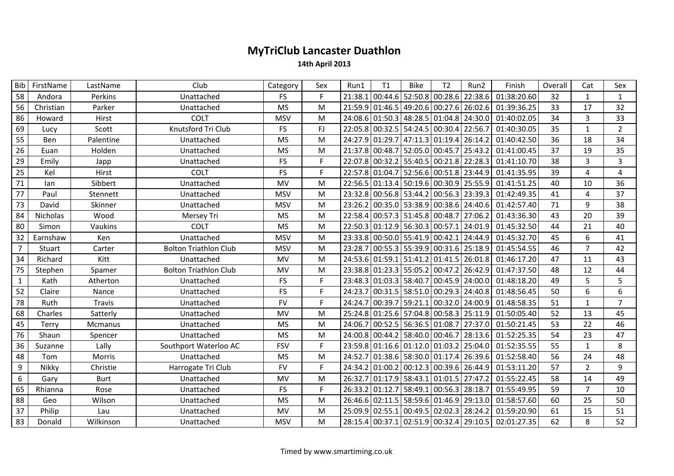## MyTriClub Lancaster Duathlon

14th April 2013

| <b>Bib</b>       | FirstName       | LastName    | Club                         | Category   | Sex | Run1    | T1              | <b>Bike</b>                             | T <sub>2</sub> | Run2                                    | Finish      | Overall | Cat            | Sex            |
|------------------|-----------------|-------------|------------------------------|------------|-----|---------|-----------------|-----------------------------------------|----------------|-----------------------------------------|-------------|---------|----------------|----------------|
| 58               | Andora          | Perkins     | Unattached                   | <b>FS</b>  |     |         | 21:38.1 00:44.6 | 52:50.8 00:28.6                         |                | 22:38.6                                 | 01:38:20.60 | 32      | $\mathbf{1}$   | $\mathbf{1}$   |
| 56               | Christian       | Parker      | Unattached                   | <b>MS</b>  | M   |         |                 |                                         |                | 21:59.9 01:46.5 49:20.6 00:27.6 26:02.6 | 01:39:36.25 | 33      | 17             | 32             |
| 86               | Howard          | Hirst       | <b>COLT</b>                  | <b>MSV</b> | M   |         |                 |                                         |                | 24:08.6 01:50.3 48:28.5 01:04.8 24:30.0 | 01:40:02.05 | 34      | 3              | 33             |
| 69               | Lucy            | Scott       | Knutsford Tri Club           | <b>FS</b>  | FJ. |         |                 | 22:05.8 00:32.5 54:24.5 00:30.4 22:56.7 |                |                                         | 01:40:30.05 | 35      | 1              | 2              |
| 55               | Ben             | Palentine   | Unattached                   | <b>MS</b>  | M   | 24:27.9 | 01:29.7         | 47:11.3 01:19.4 26:14.2                 |                |                                         | 01:40:42.50 | 36      | 18             | 34             |
| 26               | Euan            | Holden      | Unattached                   | <b>MS</b>  | M   |         |                 | 21:37.8 00:48.7 52:05.0 00:45.7 25:43.2 |                |                                         | 01:41:00.45 | 37      | 19             | 35             |
| 29               | Emily           | Japp        | Unattached                   | FS         | F.  |         |                 | 22:07.8 00:32.2 55:40.5 00:21.8 22:28.3 |                |                                         | 01:41:10.70 | 38      | 3              | 3              |
| 25               | Kel             | Hirst       | COLT                         | <b>FS</b>  | F.  |         |                 | 22:57.8 01:04.7 52:56.6 00:51.8 23:44.9 |                |                                         | 01:41:35.95 | 39      | 4              | 4              |
| 71               | lan             | Sibbert     | Unattached                   | <b>MV</b>  | м   |         |                 | 22:56.5 01:13.4 50:19.6 00:30.9 25:55.9 |                |                                         | 01:41:51.25 | 40      | 10             | 36             |
| 77               | Paul            | Stennett    | Unattached                   | <b>MSV</b> | M   |         |                 | 23:32.8 00:56.8 53:44.2 00:56.3 23:39.3 |                |                                         | 01:42:49.35 | 41      | 4              | 37             |
| 73               | David           | Skinner     | Unattached                   | <b>MSV</b> | M   | 23:26.2 |                 | 00:35.0 53:38.9 00:38.6 24:40.6         |                |                                         | 01:42:57.40 | 71      | 9              | 38             |
| 84               | <b>Nicholas</b> | Wood        | Mersey Tri                   | <b>MS</b>  | M   |         |                 | 22:58.4 00:57.3 51:45.8 00:48.7 27:06.2 |                |                                         | 01:43:36.30 | 43      | 20             | 39             |
| 80               | Simon           | Vaukins     | <b>COLT</b>                  | <b>MS</b>  | M   |         |                 | 22:50.3 01:12.9 56:30.3 00:57.1 24:01.9 |                |                                         | 01:45:32.50 | 44      | 21             | 40             |
| 32               | Earnshaw        | Ken         | Unattached                   | <b>MSV</b> | M   |         |                 | 23:33.8 00:50.0 55:41.9 00:42.1 24:44.9 |                |                                         | 01:45:32.70 | 45      | 6              | 41             |
| $\overline{7}$   | Stuart          | Carter      | <b>Bolton Triathlon Club</b> | <b>MSV</b> | M   |         |                 | 23:28.7 00:55.3 55:39.9 00:31.6 25:18.9 |                |                                         | 01:45:54.55 | 46      | $\overline{7}$ | 42             |
| 34               | Richard         | Kitt        | Unattached                   | MV         | M   |         |                 | 24:53.6 01:59.1 51:41.2 01:41.5 26:01.8 |                |                                         | 01:46:17.20 | 47      | 11             | 43             |
| 75               | Stephen         | Spamer      | <b>Bolton Triathlon Club</b> | MV         | M   |         |                 | 23:38.8 01:23.3 55:05.2 00:47.2 26:42.9 |                |                                         | 01:47:37.50 | 48      | 12             | 44             |
| $\mathbf{1}$     | Kath            | Atherton    | Unattached                   | <b>FS</b>  | F.  |         |                 | 23:48.3 01:03.3 58:40.7 00:45.9 24:00.0 |                |                                         | 01:48:18.20 | 49      | 5              | 5              |
| 52               | Claire          | Nance       | Unattached                   | FS         | F.  |         |                 | 24:23.7 00:31.5 58:51.0 00:29.3 24:40.8 |                |                                         | 01:48:56.45 | 50      | 6              | 6              |
| 78               | Ruth            | Travis      | Unattached                   | <b>FV</b>  | F.  | 24:24.7 |                 | 00:39.7 59:21.1 00:32.0 24:00.9         |                |                                         | 01:48:58.35 | 51      | $\mathbf{1}$   | $\overline{7}$ |
| 68               | Charles         | Satterly    | Unattached                   | MV         | M   |         |                 | 25:24.8 01:25.6 57:04.8 00:58.3 25:11.9 |                |                                         | 01:50:05.40 | 52      | 13             | 45             |
| 45               | Terry           | Mcmanus     | Unattached                   | <b>MS</b>  | M   |         |                 | 24:06.7 00:52.5 56:36.5 01:08.7 27:37.0 |                |                                         | 01:50:21.45 | 53      | 22             | 46             |
| 76               | Shaun           | Spencer     | Unattached                   | <b>MS</b>  | M   | 24:00.8 |                 | 00:44.2 58:40.0 00:46.7 28:13.6         |                |                                         | 01:52:25.35 | 54      | 23             | 47             |
| 36               | Suzanne         | Lally       | Southport Waterloo AC        | <b>FSV</b> | F.  |         |                 | 23:59.8 01:16.6 01:12.0 01:03.2 25:04.0 |                |                                         | 01:52:35.55 | 55      | $\mathbf{1}$   | 8              |
| 48               | Tom             | Morris      | Unattached                   | <b>MS</b>  | M   |         |                 | 24:52.7 01:38.6 58:30.0 01:17.4 26:39.6 |                |                                         | 01:52:58.40 | 56      | 24             | 48             |
| 9                | Nikky           | Christie    | Harrogate Tri Club           | <b>FV</b>  | F.  |         |                 | 24:34.2 01:00.2 00:12.3 00:39.6 26:44.9 |                |                                         | 01:53:11.20 | 57      | $\overline{2}$ | 9              |
| $\boldsymbol{6}$ | Gary            | <b>Burt</b> | Unattached                   | MV         | M   | 26:32.7 |                 | 01:17.9 58:43.1 01:01.5 27:47.2         |                |                                         | 01:55:22.45 | 58      | 14             | 49             |
| 65               | Rhianna         | Rose        | Unattached                   | <b>FS</b>  | F.  |         | 26:33.2 01:12.7 | 58:49.1 00:56.3 28:18.7                 |                |                                         | 01:55:49.95 | 59      | $\overline{7}$ | 10             |
| 88               | Geo             | Wilson      | Unattached                   | <b>MS</b>  | M   |         |                 | 26:46.6 02:11.5 58:59.6 01:46.9 29:13.0 |                |                                         | 01:58:57.60 | 60      | 25             | 50             |
| 37               | Philip          | Lau         | Unattached                   | MV         | M   |         | 25:09.9 02:55.1 | 00:49.5 02:02.3 28:24.2                 |                |                                         | 01:59:20.90 | 61      | 15             | 51             |
| 83               | Donald          | Wilkinson   | Unattached                   | <b>MSV</b> | M   |         |                 |                                         |                | 28:15.4 00:37.1 02:51.9 00:32.4 29:10.5 | 02:01:27.35 | 62      | 8              | 52             |